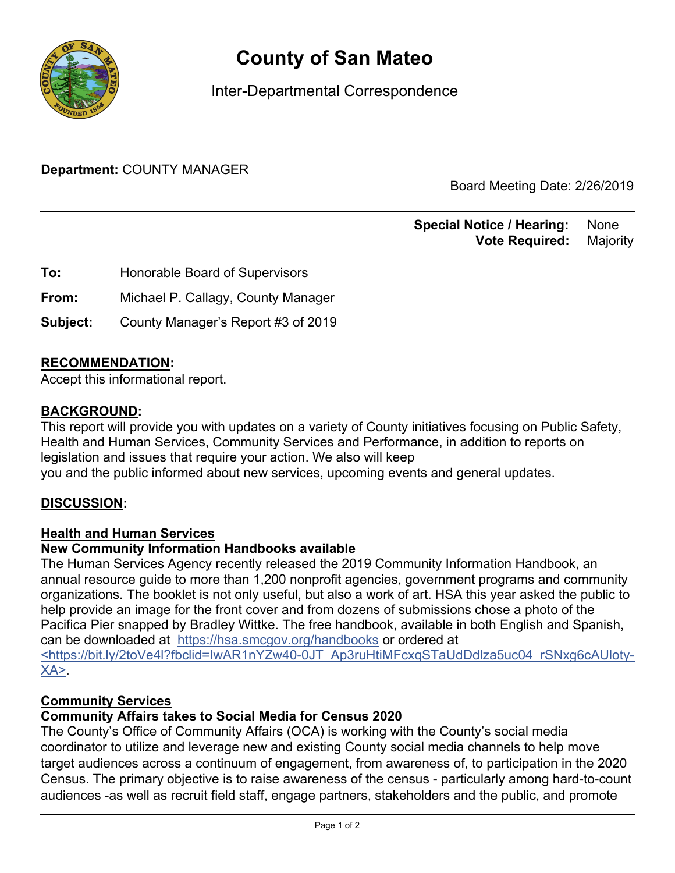

# **County of San Mateo**

Inter-Departmental Correspondence

**Department:** COUNTY MANAGER

Board Meeting Date: 2/26/2019

**Special Notice / Hearing: None Vote Required:** Majority

**To:** Honorable Board of Supervisors

**From:** Michael P. Callagy, County Manager

**Subject:** County Manager's Report #3 of 2019

### **RECOMMENDATION:**

Accept this informational report.

#### **BACKGROUND:**

This report will provide you with updates on a variety of County initiatives focusing on Public Safety, Health and Human Services, Community Services and Performance, in addition to reports on legislation and issues that require your action. We also will keep you and the public informed about new services, upcoming events and general updates.

#### **DISCUSSION:**

#### **Health and Human Services**

#### **New Community Information Handbooks available**

The Human Services Agency recently released the 2019 Community Information Handbook, an annual resource guide to more than 1,200 nonprofit agencies, government programs and community organizations. The booklet is not only useful, but also a work of art. HSA this year asked the public to help provide an image for the front cover and from dozens of submissions chose a photo of the Pacifica Pier snapped by Bradley Wittke. The free handbook, available in both English and Spanish, can be downloaded at https://hsa.smcgov.org/handbooks or ordered at <https://bit.ly/2toVe4l?fbclid=IwAR1nYZw40-0JT\_Ap3ruHtiMFcxqSTaUdDdlza5uc04\_rSNxg6cAUloty- $XA$ 

#### **Community Services**

#### **Community Affairs takes to Social Media for Census 2020**

The County's Office of Community Affairs (OCA) is working with the County's social media coordinator to utilize and leverage new and existing County social media channels to help move target audiences across a continuum of engagement, from awareness of, to participation in the 2020 Census. The primary objective is to raise awareness of the census - particularly among hard-to-count audiences -as well as recruit field staff, engage partners, stakeholders and the public, and promote